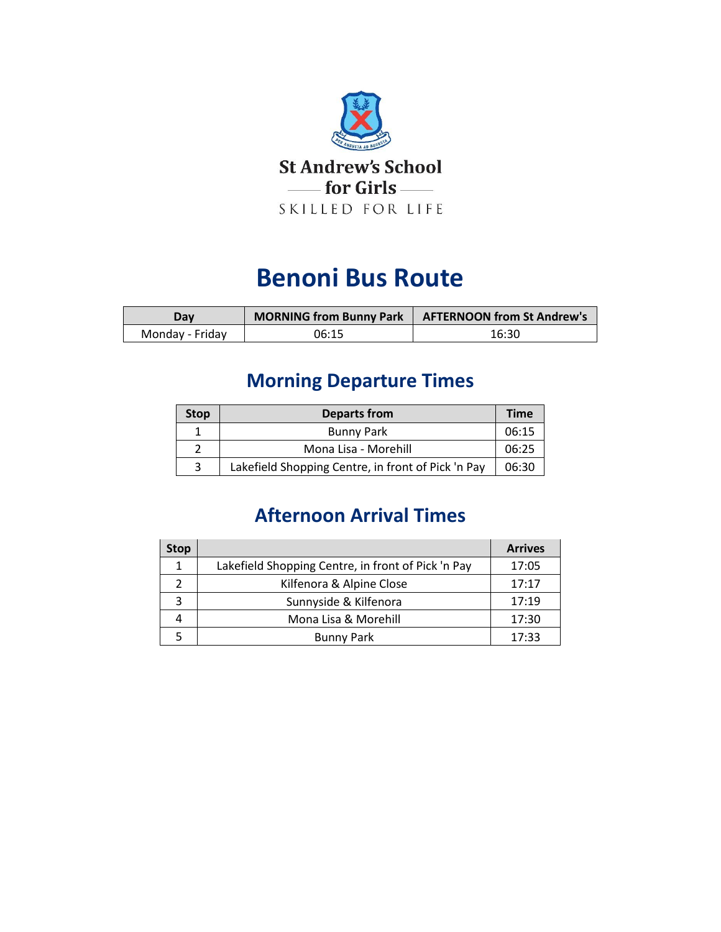

# **Benoni Bus Route**

| Dav             | <b>MORNING from Bunny Park</b> | <b>AFTERNOON from St Andrew's</b> |
|-----------------|--------------------------------|-----------------------------------|
| Monday - Friday | 06:15                          | 16:30                             |

# **Morning Departure Times**

| <b>Stop</b> | <b>Departs from</b>                                | <b>Time</b> |
|-------------|----------------------------------------------------|-------------|
|             | <b>Bunny Park</b>                                  | 06:15       |
|             | Mona Lisa - Morehill                               | 06:25       |
|             | Lakefield Shopping Centre, in front of Pick 'n Pay | 06:30       |

## **Afternoon Arrival Times**

| <b>Stop</b> |                                                    | <b>Arrives</b> |
|-------------|----------------------------------------------------|----------------|
|             | Lakefield Shopping Centre, in front of Pick 'n Pay | 17:05          |
|             | Kilfenora & Alpine Close                           | 17:17          |
|             | Sunnyside & Kilfenora                              | 17:19          |
|             | Mona Lisa & Morehill                               | 17:30          |
|             | <b>Bunny Park</b>                                  | 17:33          |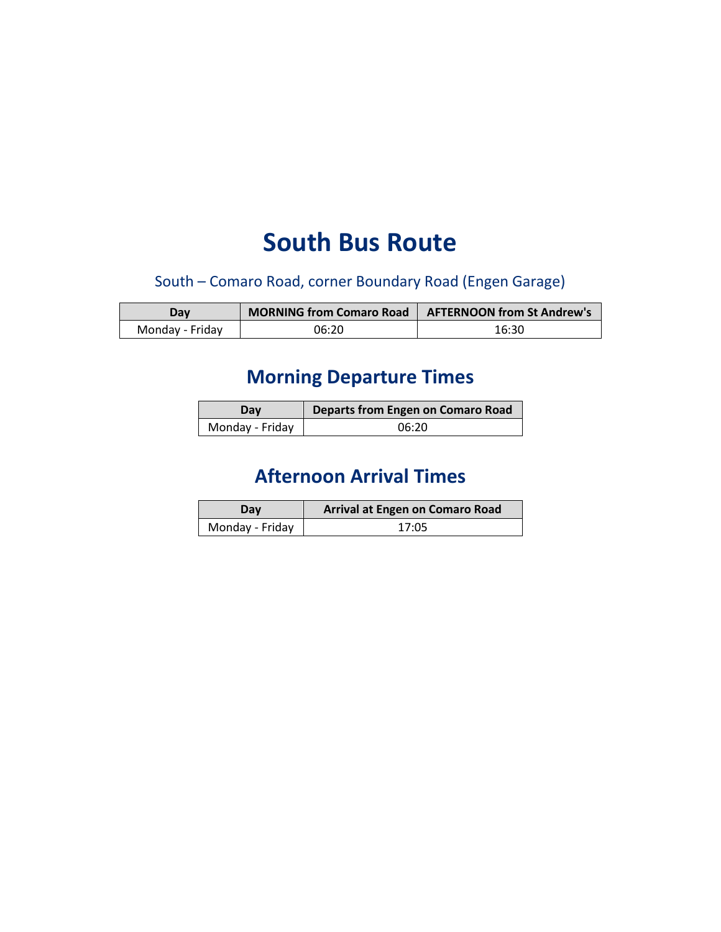# **South Bus Route**

South – Comaro Road, corner Boundary Road (Engen Garage)

| Dav             | <b>MORNING from Comaro Road</b> | <b>AFTERNOON from St Andrew's</b> |
|-----------------|---------------------------------|-----------------------------------|
| Monday - Friday | 06:20                           | 16:30                             |

## **Morning Departure Times**

| Dav             | <b>Departs from Engen on Comaro Road</b> |  |
|-----------------|------------------------------------------|--|
| Monday - Friday | 06:20                                    |  |

## **Afternoon Arrival Times**

| Dav             | Arrival at Engen on Comaro Road |  |
|-----------------|---------------------------------|--|
| Monday - Friday | 17:05                           |  |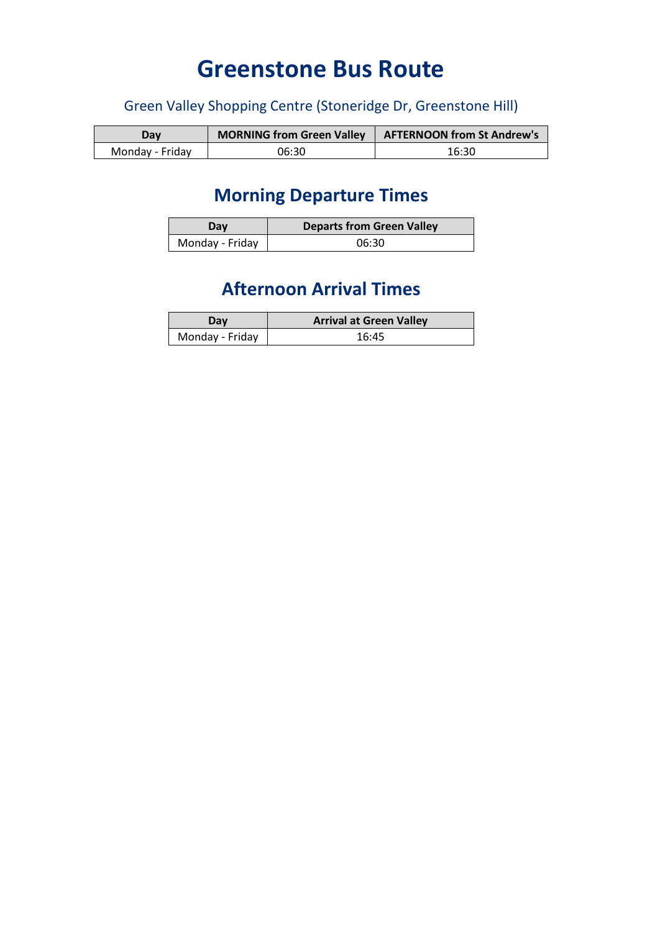# **Greenstone Bus Route**

### Green Valley Shopping Centre (Stoneridge Dr, Greenstone Hill)

| Dav             | <b>MORNING from Green Valley</b> | <b>AFTERNOON from St Andrew's</b> |
|-----------------|----------------------------------|-----------------------------------|
| Monday - Friday | 06:30                            | 16:30                             |

## **Morning Departure Times**

| Dav             | <b>Departs from Green Valley</b> |
|-----------------|----------------------------------|
| Monday - Friday | 06:30                            |

# **Afternoon Arrival Times**

| Day.            | <b>Arrival at Green Valley</b> |  |
|-----------------|--------------------------------|--|
| Monday - Friday | 16:45                          |  |